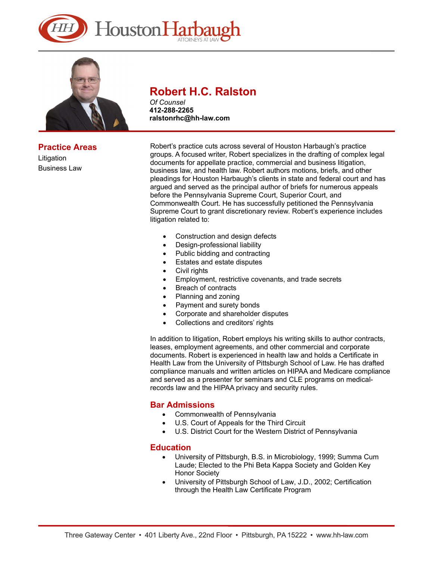



**Practice Areas**  Litigation Business Law

# **Robert H.C. Ralston**

*Of Counsel* **412-288-2265 ralstonrhc@hh-law.com** 

Robert's practice cuts across several of Houston Harbaugh's practice groups. A focused writer, Robert specializes in the drafting of complex legal documents for appellate practice, commercial and business litigation, business law, and health law. Robert authors motions, briefs, and other pleadings for Houston Harbaugh's clients in state and federal court and has argued and served as the principal author of briefs for numerous appeals before the Pennsylvania Supreme Court, Superior Court, and Commonwealth Court. He has successfully petitioned the Pennsylvania Supreme Court to grant discretionary review. Robert's experience includes litigation related to:

- Construction and design defects
- Design-professional liability
- Public bidding and contracting
- Estates and estate disputes
- Civil rights
- Employment, restrictive covenants, and trade secrets
- Breach of contracts
- Planning and zoning
- Payment and surety bonds
- Corporate and shareholder disputes
- Collections and creditors' rights

In addition to litigation, Robert employs his writing skills to author contracts, leases, employment agreements, and other commercial and corporate documents. Robert is experienced in health law and holds a Certificate in Health Law from the University of Pittsburgh School of Law. He has drafted compliance manuals and written articles on HIPAA and Medicare compliance and served as a presenter for seminars and CLE programs on medicalrecords law and the HIPAA privacy and security rules.

### **Bar Admissions**

- Commonwealth of Pennsylvania
- U.S. Court of Appeals for the Third Circuit
- U.S. District Court for the Western District of Pennsylvania

### **Education**

- University of Pittsburgh, B.S. in Microbiology, 1999; Summa Cum Laude; Elected to the Phi Beta Kappa Society and Golden Key Honor Society
- University of Pittsburgh School of Law, J.D., 2002; Certification through the Health Law Certificate Program